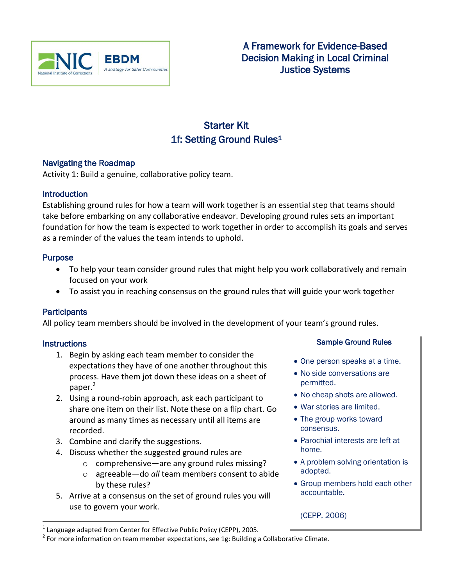

# Starter Kit 1f: Setting Ground Rules<sup>1</sup>

### Navigating the Roadmap

Activity 1: Build a genuine, collaborative policy team.

### **Introduction**

Establishing ground rules for how a team will work together is an essential step that teams should take before embarking on any collaborative endeavor. Developing ground rules sets an important foundation for how the team is expected to work together in order to accomplish its goals and serves as a reminder of the values the team intends to uphold.

### **Purpose**

- To help your team consider ground rules that might help you work collaboratively and remain focused on your work
- To assist you in reaching consensus on the ground rules that will guide your work together

### Participants

All policy team members should be involved in the development of your team's ground rules.

### **Instructions**

 $\overline{a}$ 

- 1. Begin by asking each team member to consider the expectations they have of one another throughout this process. Have them jot down these ideas on a sheet of paper.<sup>2</sup>
- 2. Using a round-robin approach, ask each participant to share one item on their list. Note these on a flip chart. Go around as many times as necessary until all items are recorded.
- 3. Combine and clarify the suggestions.
- 4. Discuss whether the suggested ground rules are
	- o comprehensive—are any ground rules missing?
	- o agreeable—do *all* team members consent to abide by these rules?
- 5. Arrive at a consensus on the set of ground rules you will use to govern your work.
- One person speaks at a time.
- No side conversations are permitted.
- No cheap shots are allowed.
- War stories are limited.
- The group works toward consensus.
- Parochial interests are left at home.
- A problem solving orientation is adopted.
- Group members hold each other accountable.

(CEPP, 2006)

Sample Ground Rules

 $^1$  Language adapted from Center for Effective Public Policy (CEPP), 2005.

 $2$  For more information on team member expectations, see 1g: Building a Collaborative Climate.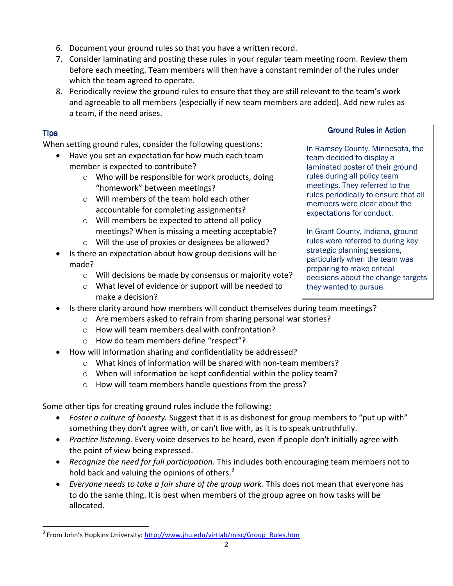- 6. Document your ground rules so that you have a written record.
- 7. Consider laminating and posting these rules in your regular team meeting room. Review them before each meeting. Team members will then have a constant reminder of the rules under which the team agreed to operate.
- 8. Periodically review the ground rules to ensure that they are still relevant to the team's work and agreeable to all members (especially if new team members are added). Add new rules as a team, if the need arises.

# Tips

 $\overline{a}$ 

When setting ground rules, consider the following questions:

- Have you set an expectation for how much each team member is expected to contribute?
	- o Who will be responsible for work products, doing "homework" between meetings?
	- o Will members of the team hold each other accountable for completing assignments?
	- o Will members be expected to attend all policy meetings? When is missing a meeting acceptable?
	- o Will the use of proxies or designees be allowed?
- Is there an expectation about how group decisions will be made?
	- o Will decisions be made by consensus or majority vote?
	- o What level of evidence or support will be needed to make a decision?

## Ground Rules in Action

In Ramsey County, Minnesota, the team decided to display a laminated poster of their ground rules during all policy team meetings. They referred to the rules periodically to ensure that all members were clear about the expectations for conduct.

In Grant County, Indiana, ground rules were referred to during key strategic planning sessions, particularly when the team was preparing to make critical decisions about the change targets they wanted to pursue.

- Is there clarity around how members will conduct themselves during team meetings?
	- o Are members asked to refrain from sharing personal war stories?
	- o How will team members deal with confrontation?
	- o How do team members define "respect"?
	- How will information sharing and confidentiality be addressed?
		- o What kinds of information will be shared with non-team members?
		- o When will information be kept confidential within the policy team?
		- o How will team members handle questions from the press?

Some other tips for creating ground rules include the following:

- *Foster a culture of honesty.* Suggest that it is as dishonest for group members to "put up with" something they don't agree with, or can't live with, as it is to speak untruthfully.
- *Practice listening.* Every voice deserves to be heard, even if people don't initially agree with the point of view being expressed.
- *Recognize the need for full participation.* This includes both encouraging team members not to hold back and valuing the opinions of others. $3$
- *Everyone needs to take a fair share of the group work.* This does not mean that everyone has to do the same thing. It is best when members of the group agree on how tasks will be allocated.

<sup>&</sup>lt;sup>3</sup> From John's Hopkins University: <u>[http://www.jhu.edu/virtlab/misc/Group\\_Rules.htm](http://www.jhu.edu/virtlab/misc/Group_Rules.htm)</u>